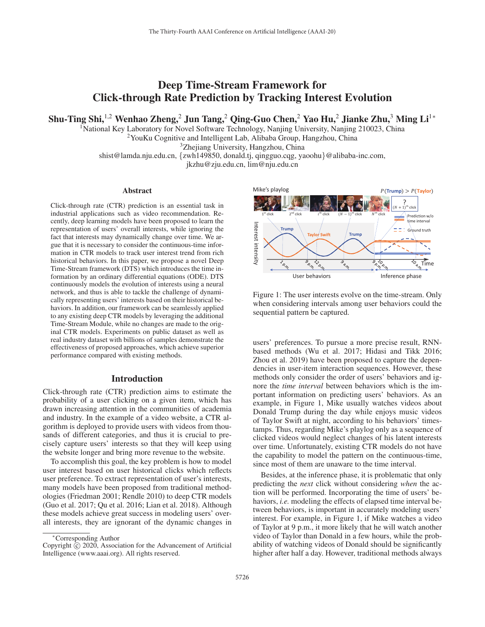# Deep Time-Stream Framework for Click-through Rate Prediction by Tracking Interest Evolution

Shu-Ting Shi,<sup>1,2</sup> Wenhao Zheng,<sup>2</sup> Jun Tang,<sup>2</sup> Qing-Guo Chen,<sup>2</sup> Yao Hu,<sup>2</sup> Jianke Zhu,<sup>3</sup> Ming Li<sup>1</sup><sup>∗</sup>

<sup>1</sup>National Key Laboratory for Novel Software Technology, Nanjing University, Nanjing 210023, China

2YouKu Cognitive and Intelligent Lab, Alibaba Group, Hangzhou, China

<sup>3</sup>Zhejiang University, Hangzhou, China

shist@lamda.nju.edu.cn, {zwh149850, donald.tj, qingguo.cqg, yaoohu}@alibaba-inc.com,

jkzhu@zju.edu.cn, lim@nju.edu.cn

#### Abstract

Click-through rate (CTR) prediction is an essential task in industrial applications such as video recommendation. Recently, deep learning models have been proposed to learn the representation of users' overall interests, while ignoring the fact that interests may dynamically change over time. We argue that it is necessary to consider the continuous-time information in CTR models to track user interest trend from rich historical behaviors. In this paper, we propose a novel Deep Time-Stream framework (DTS) which introduces the time information by an ordinary differential equations (ODE). DTS continuously models the evolution of interests using a neural network, and thus is able to tackle the challenge of dynamically representing users' interests based on their historical behaviors. In addition, our framework can be seamlessly applied to any existing deep CTR models by leveraging the additional Time-Stream Module, while no changes are made to the original CTR models. Experiments on public dataset as well as real industry dataset with billions of samples demonstrate the effectiveness of proposed approaches, which achieve superior performance compared with existing methods.

# Introduction

Click-through rate (CTR) prediction aims to estimate the probability of a user clicking on a given item, which has drawn increasing attention in the communities of academia and industry. In the example of a video website, a CTR algorithm is deployed to provide users with videos from thousands of different categories, and thus it is crucial to precisely capture users' interests so that they will keep using the website longer and bring more revenue to the website.

To accomplish this goal, the key problem is how to model user interest based on user historical clicks which reflects user preference. To extract representation of user's interests, many models have been proposed from traditional methodologies (Friedman 2001; Rendle 2010) to deep CTR models (Guo et al. 2017; Qu et al. 2016; Lian et al. 2018). Although these models achieve great success in modeling users' overall interests, they are ignorant of the dynamic changes in



Figure 1: The user interests evolve on the time-stream. Only when considering intervals among user behaviors could the sequential pattern be captured.

users' preferences. To pursue a more precise result, RNNbased methods (Wu et al. 2017; Hidasi and Tikk 2016; Zhou et al. 2019) have been proposed to capture the dependencies in user-item interaction sequences. However, these methods only consider the order of users' behaviors and ignore the *time interval* between behaviors which is the important information on predicting users' behaviors. As an example, in Figure 1, Mike usually watches videos about Donald Trump during the day while enjoys music videos of Taylor Swift at night, according to his behaviors' timestamps. Thus, regarding Mike's playlog only as a sequence of clicked videos would neglect changes of his latent interests over time. Unfortunately, existing CTR models do not have the capability to model the pattern on the continuous-time, since most of them are unaware to the time interval.

Besides, at the inference phase, it is problematic that only predicting the *next* click without considering *when* the action will be performed. Incorporating the time of users' behaviors, *i.e.* modeling the effects of elapsed time interval between behaviors, is important in accurately modeling users' interest. For example, in Figure 1, if Mike watches a video of Taylor at 9 p.m., it more likely that he will watch another video of Taylor than Donald in a few hours, while the probability of watching videos of Donald should be significantly higher after half a day. However, traditional methods always

<sup>∗</sup>Corresponding Author

Copyright  $\odot$  2020, Association for the Advancement of Artificial Intelligence (www.aaai.org). All rights reserved.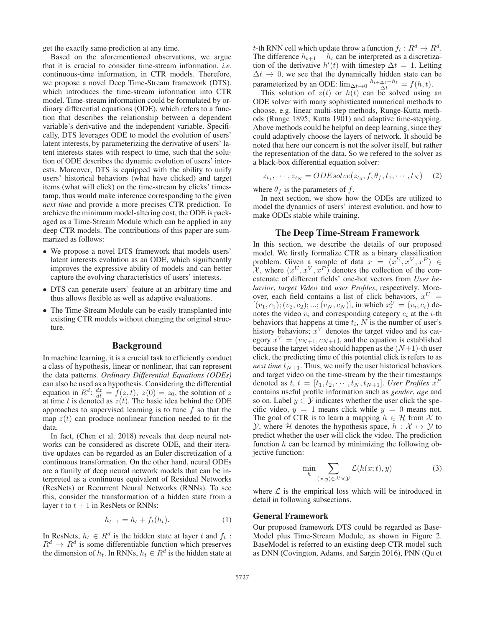get the exactly same prediction at any time.

Based on the aforementioned observations, we argue that it is crucial to consider time-stream information, *i.e.* continuous-time information, in CTR models. Therefore, we propose a novel Deep Time-Stream framework (DTS), which introduces the time-stream information into CTR model. Time-stream information could be formulated by ordinary differential equations (ODE), which refers to a function that describes the relationship between a dependent variable's derivative and the independent variable. Specifically, DTS leverages ODE to model the evolution of users' latent interests, by parameterizing the derivative of users' latent interests states with respect to time, such that the solution of ODE describes the dynamic evolution of users' interests. Moreover, DTS is equipped with the ability to unify users' historical behaviors (what have clicked) and target items (what will click) on the time-stream by clicks' timestamp, thus would make inference corresponding to the given *next time* and provide a more precises CTR prediction. To archieve the minimum model-altering cost, the ODE is packaged as a Time-Stream Module which can be applied in any deep CTR models. The contributions of this paper are summarized as follows:

- We propose a novel DTS framework that models users' latent interests evolution as an ODE, which significantly improves the expressive ability of models and can better capture the evolving characteristics of users' interests.
- DTS can generate users' feature at an arbitrary time and thus allows flexible as well as adaptive evaluations.
- The Time-Stream Module can be easily transplanted into existing CTR models without changing the original structure.

## Background

In machine learning, it is a crucial task to efficiently conduct a class of hypothesis, linear or nonlinear, that can represent the data patterns. *Ordinary Differential Equations (ODEs)* can also be used as a hypothesis. Considering the differential equation in  $R^d$ :  $\frac{dz}{dt} = f(z, t)$ ,  $z(0) = z_0$ , the solution of z<br>at time t is denoted as  $z(t)$ . The basic idea behind the ODF at time t is denoted as  $z(t)$ . The basic idea behind the ODE approaches to supervised learning is to tune  $f$  so that the map  $z(t)$  can produce nonlinear function needed to fit the data.

In fact, (Chen et al. 2018) reveals that deep neural networks can be considered as discrete ODE, and their iterative updates can be regarded as an Euler discretization of a continuous transformation. On the other hand, neural ODEs are a family of deep neural network models that can be interpreted as a continuous equivalent of Residual Networks (ResNets) or Recurrent Neural Networks (RNNs). To see this, consider the transformation of a hidden state from a layer t to  $t + 1$  in ResNets or RNNs:

$$
h_{t+1} = h_t + f_t(h_t). \tag{1}
$$

In ResNets,  $h_t \in R^d$  is the hidden state at layer t and  $f_t$ :  $R^d \rightarrow R^d$  is some differentiable function which preserves the dimension of  $h_t$ . In RNNs,  $h_t \in R^d$  is the hidden state at t-th RNN cell which update throw a function  $f_t : R^d \to R^d$ . The difference  $h_{t+1} - h_t$  can be interpreted as a discretization of the derivative  $h'(t)$  with timestep  $\Delta t = 1$ . Letting  $\Delta t \rightarrow 0$  we see that the dynamically hidden state can be  $\Delta t \rightarrow 0$ , we see that the dynamically hidden state can be parameterized by an ODE:  $\lim_{\Delta t \to 0} \frac{h_{t+\Delta t}-h_t}{\Delta t} = f(h, t)$ .<br>This solution of  $z(t)$  or  $h(t)$  can be solved using

This solution of  $z(t)$  or  $h(t)$  can be solved using an DE solver with many sonbisticated numerical methods to ODE solver with many sophisticated numerical methods to choose, e.g. linear multi-step methods, Runge-Kutta methods (Runge 1895; Kutta 1901) and adaptive time-stepping. Above methods could be helpful on deep learning, since they could adaptively choose the layers of network. It should be noted that here our concern is not the solver itself, but rather the representation of the data. So we refered to the solver as a black-box differential equation solver:

$$
z_{t_1}, \cdots, z_{t_N} = ODEsolve(z_{t_0}, f, \theta_f, t_1, \cdots, t_N) \quad (2)
$$

where  $\theta_f$  is the parameters of f.

In next section, we show how the ODEs are utilized to model the dynamics of users' interest evolution, and how to make ODEs stable while training.

#### The Deep Time-Stream Framework

In this section, we describe the details of our proposed model. We firstly formalize CTR as a binary classification problem. Given a sample of data  $x = (x^U, x^V, x^P) \in$  $\mathcal{X}$ , where  $(x^U, x^V, x^P)$  denotes the collection of the concatenate of different fields' one-hot vectors from *User behavior*, *target Video* and *user Profiles*, respectively. Moreover, each field contains a list of click behaviors,  $x^U =$ <br> $[(v_1, c_1) \cdot (v_2, c_2) \cdot (v_N, c_N)]$  in which  $x^U = (v_1, c_2)$  de- $[(v_1, c_1); (v_2, c_2); \dots; (v_N, c_N)]$ , in which  $x_i^U = (v_i, c_i)$  denotes the video  $v_i$  and corresponding category  $c_i$  at the *i*-th notes the video  $v_i$  and corresponding category  $c_i$  at the *i*-th behaviors that happens at time  $t_i$ ,  $N$  is the number of user's history behaviors;  $x^V$  denotes the target video and its category  $x^V = (v_{N+1}, c_{N+1})$ , and the equation is established because the target video should happen as the  $(N+1)$ -th user click, the predicting time of this potential click is refers to as *next time*  $t_{N+1}$ . Thus, we unify the user historical behaviors and target video on the time-stream by the their timestamps denoted as  $t, t = [t_1, t_2, \cdots, t_N, t_{N+1}]$ . *User Profiles*  $x^P$ contains useful profile information such as *gender*, *age* and so on. Label  $y \in Y$  indicates whether the user click the specific video,  $y = 1$  means click while  $y = 0$  means not. The goal of CTR is to learn a mapping  $h \in \mathcal{H}$  from X to  $\mathcal{Y}$ , where H denotes the hypothesis space,  $h : \mathcal{X} \mapsto \mathcal{Y}$  to predict whether the user will click the video. The prediction function  $h$  can be learned by minimizing the following objective function:

$$
\min_{h} \sum_{(x,y)\in \mathcal{X}\times\mathcal{Y}} \mathcal{L}(h(x;t),y) \tag{3}
$$

where  $\mathcal L$  is the empirical loss which will be introduced in detail in following subsections.

#### General Framework

Our proposed framework DTS could be regarded as Base-Model plus Time-Stream Module, as shown in Figure 2. BaseModel is referred to an existing deep CTR model such as DNN (Covington, Adams, and Sargin 2016), PNN (Qu et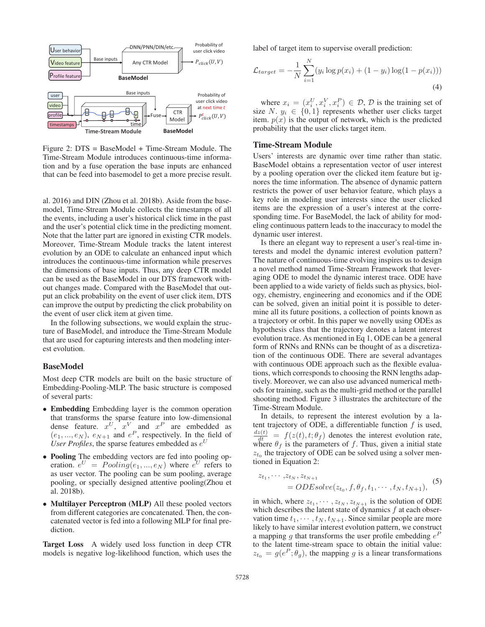

Figure 2: DTS = BaseModel + Time-Stream Module. The Time-Stream Module introduces continuous-time information and by a fuse operation the base inputs are enhanced that can be feed into basemodel to get a more precise result.

al. 2016) and DIN (Zhou et al. 2018b). Aside from the basemodel, Time-Stream Module collects the timestamps of all the events, including a user's historical click time in the past and the user's potential click time in the predicting moment. Note that the latter part are ignored in existing CTR models. Moreover, Time-Stream Module tracks the latent interest evolution by an ODE to calculate an enhanced input which introduces the continuous-time information while preserves the dimensions of base inputs. Thus, any deep CTR model can be used as the BaseModel in our DTS framework without changes made. Compared with the BaseModel that output an click probability on the event of user click item, DTS can improve the output by predicting the click probability on the event of user click item at given time.

In the following subsections, we would explain the structure of BaseModel, and introduce the Time-Stream Module that are used for capturing interests and then modeling interest evolution.

#### BaseModel

Most deep CTR models are built on the basic structure of Embedding-Pooling-MLP. The basic structure is composed of several parts:

- Embedding Embedding layer is the common operation that transforms the sparse feature into low-dimensional dense feature.  $x^U$ ,  $x^V$  and  $x^P$  are embedded as  $(e_1, ..., e_N)$ ,  $e_{N+1}$  and  $e^P$ , respectively. In the field of *I Iser Profiles* the sparse features embedded as  $e^U$ *User Profiles*, the sparse features embedded as  $e^U$
- Pooling The embedding vectors are fed into pooling operation.  $e^U = Pooling(e_1, ..., e_N)$  where  $e^U$  refers to as user vector. The pooling can be sum pooling, average pooling, or specially designed attentive pooling(Zhou et al. 2018b).
- Multilayer Perceptron (MLP) All these pooled vectors from different categories are concatenated. Then, the concatenated vector is fed into a following MLP for final prediction.

Target Loss A widely used loss function in deep CTR models is negative log-likelihood function, which uses the label of target item to supervise overall prediction:

$$
\mathcal{L}_{target} = -\frac{1}{N} \sum_{i=1}^{N} (y_i \log p(x_i) + (1 - y_i) \log(1 - p(x_i)))
$$
\n(4)

where  $x_i = (x_i^U, x_i^V, x_i^P) \in \mathcal{D}, \mathcal{D}$  is the training set of<br>re  $N, u_i \in \{0, 1\}$  represents whether user clicks target size N.  $y_i \in \{0,1\}$  represents whether user clicks target item.  $p(x)$  is the output of network, which is the predicted probability that the user clicks target item.

#### Time-Stream Module

Users' interests are dynamic over time rather than static. BaseModel obtains a representation vector of user interest by a pooling operation over the clicked item feature but ignores the time information. The absence of dynamic pattern restricts the power of user behavior feature, which plays a key role in modeling user interests since the user clicked items are the expression of a user's interest at the corresponding time. For BaseModel, the lack of ability for modeling continuous pattern leads to the inaccuracy to model the dynamic user interest.

Is there an elegant way to represent a user's real-time interests and model the dynamic interest evolution pattern? The nature of continuous-time evolving inspires us to design a novel method named Time-Stream Framework that leveraging ODE to model the dynamic interest trace. ODE have been applied to a wide variety of fields such as physics, biology, chemistry, engineering and economics and if the ODE can be solved, given an initial point it is possible to determine all its future positions, a collection of points known as a trajectory or orbit. In this paper we novelly using ODEs as hypothesis class that the trajectory denotes a latent interest evolution trace. As mentioned in Eq 1, ODE can be a general form of RNNs and RNNs can be thought of as a discretization of the continuous ODE. There are several advantages with continuous ODE approach such as the flexible evaluations, which corresponds to choosing the RNN lengths adaptively. Moreover, we can also use advanced numerical methods for training, such as the multi-grid method or the parallel shooting method. Figure 3 illustrates the architecture of the Time-Stream Module.

In details, to represent the interest evolution by a latent trajectory of ODE, a differentiable function  $f$  is used,  $\frac{dz(t)}{dt} = f(z(t), t; \theta_f)$  denotes the interest evolution rate,<br>where  $\theta_s$  is the narameters of f. Thus, given a initial state where  $\theta_f$  is the parameters of f. Thus, given a initial state  $z_{t_0}$  the trajectory of ODE can be solved using a solver mentioned in Equation 2:

$$
z_{t_1}, \cdots, z_{t_N}, z_{t_{N+1}}
$$
  
=  $ODEsolve(z_{t_0}, f, \theta_f, t_1, \cdots, t_N, t_{N+1}),$  (5)

in which, where  $z_{t_1}, \dots, z_{t_N}, z_{t_{N+1}}$  is the solution of ODE which describes the latent state of dynamics  $f$  at each observation time  $t_1, \dots, t_N, t_{N+1}$ . Since similar people are more likely to have similar interest evolution pattern, we construct a mapping g that transforms the user profile embedding  $e^P$ to the latent time-stream space to obtain the initial value:  $z_{t_0} = g(e^P; \theta_q)$ , the mapping g is a linear transformations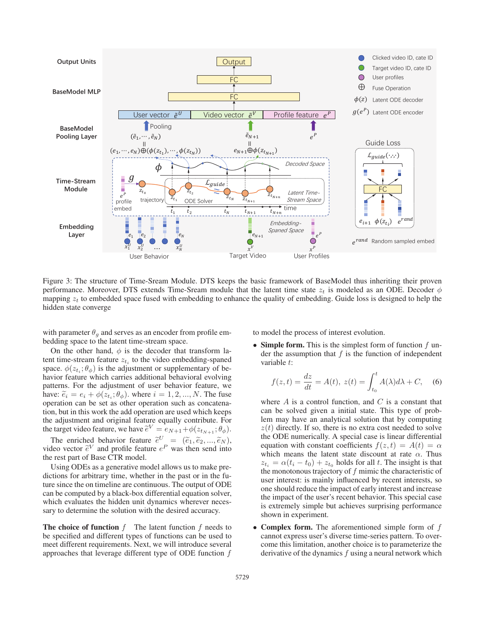

Figure 3: The structure of Time-Sream Module. DTS keeps the basic framework of BaseModel thus inheriting their proven performance. Moreover, DTS extends Time-Sream module that the latent time state  $z_t$  is modeled as an ODE. Decoder  $\phi$ mapping  $z_t$  to embedded space fused with embedding to enhance the quality of embedding. Guide loss is designed to help the hidden state converge

with parameter  $\theta_q$  and serves as an encoder from profile embedding space to the latent time-stream space.

On the other hand,  $\phi$  is the decoder that transform latent time-stream feature  $z_{t_i}$  to the video embedding-spaned space.  $\phi(z_t; \theta_{\phi})$  is the adjustment or supplementary of behavior feature which carries additional behavioral evolving patterns. For the adjustment of user behavior feature, we have:  $\tilde{e}_i = e_i + \phi(z_{t_i}; \theta_{\phi})$ , where  $i = 1, 2, ..., N$ . The fuse operation can be set as other operation such as concatenation, but in this work the add operation are used which keeps the adjustment and original feature equally contribute. For the target video feature, we have  $\tilde{e}^V = e_{N+1} + \phi(z_{t_{N+1}}; \theta_{\phi})$ .

The enriched behavior feature  $\tilde{e}^U = (\tilde{e}_1, \tilde{e}_2, ..., \tilde{e}_N)$ ,<br>leo vector  $\tilde{e}^V$  and profile feature  $e^P$  was then send into video vector  $\tilde{e}^V$  and profile feature  $e^P$  was then send into the rest part of Base CTR model.

Using ODEs as a generative model allows us to make predictions for arbitrary time, whether in the past or in the future since the on timeline are continuous. The output of ODE can be computed by a black-box differential equation solver, which evaluates the hidden unit dynamics wherever necessary to determine the solution with the desired accuracy.

**The choice of function**  $f$  The latent function  $f$  needs to be specified and different types of functions can be used to meet different requirements. Next, we will introduce several approaches that leverage different type of ODE function  $f$ 

to model the process of interest evolution.

• Simple form. This is the simplest form of function  $f$  under the assumption that  $f$  is the function of independent variable t:

$$
f(z,t) = \frac{dz}{dt} = A(t), \ z(t) = \int_{t_0}^t A(\lambda)d\lambda + C, \quad (6)
$$

where  $A$  is a control function, and  $C$  is a constant that can be solved given a initial state. This type of problem may have an analytical solution that by computing  $z(t)$  directly. If so, there is no extra cost needed to solve the ODE numerically. A special case is linear differential equation with constant coefficients  $f(z, t) = A(t) = \alpha$ which means the latent state discount at rate  $\alpha$ . Thus  $z_{t_i} = \alpha(t_i - t_0) + z_{t_0}$  holds for all t. The insight is that the monotonous trajectory of  $f$  mimic the characteristic of user interest: is mainly influenced by recent interests, so one should reduce the impact of early interest and increase the impact of the user's recent behavior. This special case is extremely simple but achieves surprising performance shown in experiment.

• Complex form. The aforementioned simple form of  $f$ cannot express user's diverse time-series pattern. To overcome this limitation, another choice is to parameterize the derivative of the dynamics  $f$  using a neural network which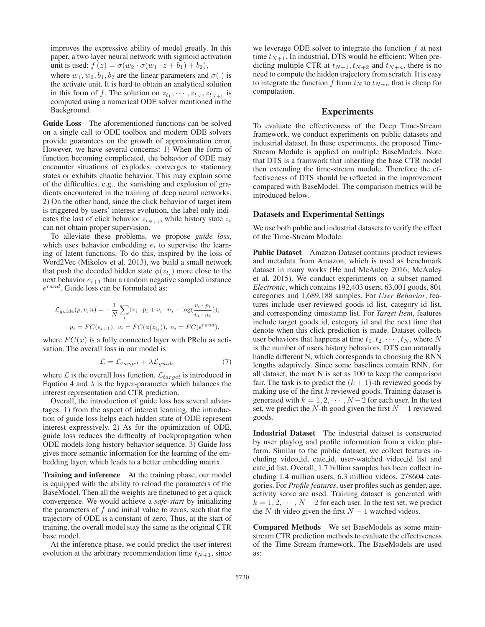improves the expressive ability of model greatly. In this paper, a two layer neural network with sigmoid activation unit is used:  $f(z) = \sigma(w_2 \cdot \sigma(w_1 \cdot z + b_1) + b_2),$ 

where  $w_1, w_2, b_1, b_2$  are the linear parameters and  $\sigma(.)$  is the activate unit. It is hard to obtain an analytical solution in this form of f. The solution on  $z_{t_1}, \dots, z_{t_N}, z_{t_{N+1}}$  is computed using a numerical ODE solver mentioned in the Background.

Guide Loss The aforementioned functions can be solved on a single call to ODE toolbox and modern ODE solvers provide guarantees on the growth of approximation error. However, we have several concerns: 1) When the form of function becoming complicated, the behavior of ODE may encounter situations of explodes, converges to stationary states or exhibits chaotic behavior. This may explain some of the difficulties, e.g., the vanishing and explosion of gradients encountered in the training of deep neural networks. 2) On the other hand, since the click behavior of target item is triggered by users' interest evolution, the label only indicates the last of click behavior  $z_{t_{N+1}}$ , while history state  $z_t$ can not obtain proper supervision.

To alleviate these problems, we propose *guide loss*, which uses behavior embedding  $e_i$  to supervise the learning of latent functions. To do this, inspired by the loss of Word2Vec (Mikolov et al. 2013), we build a small network that push the decoded hidden state  $\phi(z_t)$  more close to the next behavior  $e_{i+1}$  than a random negative sampled instance  $e^{rand}$ . Guide loss can be formulated as:

$$
\mathcal{L}_{guide}(p, v, n) = -\frac{1}{N} \sum_{i} (v_i \cdot p_i + v_i \cdot n_i - \log(\frac{v_i \cdot p_i}{v_i \cdot n_i})),
$$
  

$$
p_i = FC(e_{i+1}), v_i = FC(\phi(z_{t_i})), n_i = FC(e^{rand}).
$$

where  $FC(x)$  is a fully connected layer with PRelu as activation. The overall loss in our model is:

$$
\mathcal{L} = \mathcal{L}_{target} + \lambda \mathcal{L}_{guide} \tag{7}
$$

where  $\mathcal L$  is the overall loss function,  $\mathcal L_{target}$  is introduced in Eqution 4 and  $\lambda$  is the hyper-parameter which balances the interest representation and CTR prediction.

Overall, the introduction of guide loss has several advantages: 1) from the aspect of interest learning, the introduction of guide loss helps each hidden state of ODE represent interest expressively. 2) As for the optimization of ODE, guide loss reduces the difficulty of backpropagation when ODE models long history behavior sequence. 3) Guide loss gives more semantic information for the learning of the embedding layer, which leads to a better embedding matrix.

Training and inference At the training phase, our model is equipped with the ability to reload the parameters of the BaseModel. Then all the weights are finetuned to get a quick convergence. We would achieve a *safe-start* by initializing the parameters of  $f$  and initial value to zeros, such that the trajectory of ODE is a constant of zero. Thus, at the start of training, the overall model stay the same as the original CTR base model.

At the inference phase, we could predict the user interest evolution at the arbitrary recommendation time  $t_{N+1}$ , since

we leverage ODE solver to integrate the function  $f$  at next time  $t_{N+1}$ . In industrial, DTS would be efficient: When predicting multiple CTR at  $t_{N+1}$ ,  $t_{N+2}$  and  $t_{N+n}$ , there is no need to compute the hidden trajectory from scratch. It is easy to integrate the function f from  $t_N$  to  $t_{N+n}$  that is cheap for computation.

## Experiments

To evaluate the effectiveness of the Deep Time-Stream framework, we conduct experiments on public datasets and industrial dataset. In these experiments, the proposed Time-Stream Module is applied on multiple BaseModels. Note that DTS is a framwork that inheriting the base CTR model then extending the time-stream module. Therefore the effectiveness of DTS should be reflected in the improvement compared with BaseModel. The comparison metrics will be introduced below.

#### Datasets and Experimental Settings

We use both public and industrial datasets to verify the effect of the Time-Stream Module.

Public Dataset Amazon Dataset contains product reviews and metadata from Amazon, which is used as benchmark dataset in many works (He and McAuley 2016; McAuley et al. 2015). We conduct experiments on a subset named *Electronic*, which contains 192,403 users, 63,001 goods, 801 categories and 1,689,188 samples. For *User Behavior*, features include user-reviewed goods id list, category id list, and corresponding timestamp list. For *Target Item*, features include target goods id, category id and the next time that denote when this click prediction is made. Dataset collects user behaviors that happens at time  $t_1, t_2, \dots, t_N$ , where N is the number of users history behaviors. DTS can naturally handle different N, which corresponds to choosing the RNN lengths adaptively. Since some baselines contain RNN, for all dataset, the max N is set as 100 to keep the comparison fair. The task is to predict the  $(k + 1)$ -th reviewed goods by making use of the first  $k$  reviewed goods. Training dataset is generated with  $k = 1, 2, \cdots, N-2$  for each user. In the test set, we predict the  $N$ -th good given the first  $N-1$  reviewed goods.

Industrial Dataset The industrial dataset is constructed by user playlog and profile information from a video platform. Similar to the public dataset, we collect features including video id, cate id, user-watched video id list and cate id list. Overall, 1.7 billion samples has been collect including 1.4 million users, 6.3 million videos, 278604 categories. For *Profile features*, user profiles such as gender, age, activity score are used. Training dataset is generated with  $k = 1, 2, \dots, N - 2$  for each user. In the test set, we predict the N-th video given the first  $N - 1$  watched videos.

Compared Methods We set BaseModels as some mainstream CTR prediction methods to evaluate the effectiveness of the Time-Stream framework. The BaseModels are used as: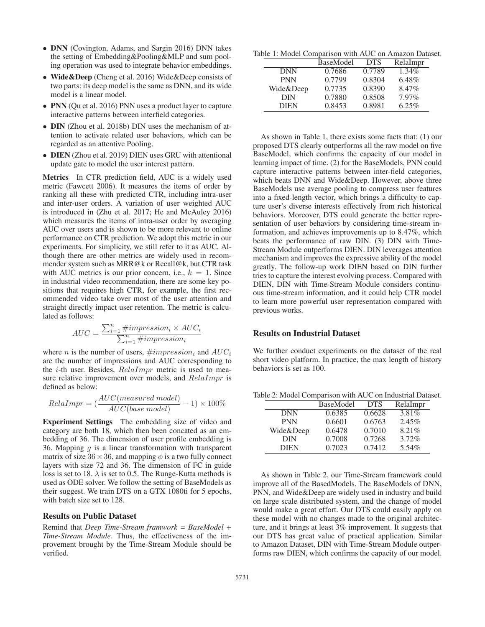- **DNN** (Covington, Adams, and Sargin 2016) DNN takes the setting of Embedding&Pooling&MLP and sum pooling operation was used to integrate behavior embeddings.
- Wide&Deep (Cheng et al. 2016) Wide&Deep consists of two parts: its deep model is the same as DNN, and its wide model is a linear model.
- PNN (Qu et al. 2016) PNN uses a product layer to capture interactive patterns between interfield categories.
- DIN (Zhou et al. 2018b) DIN uses the mechanism of attention to activate related user behaviors, which can be regarded as an attentive Pooling.
- DIEN (Zhou et al. 2019) DIEN uses GRU with attentional update gate to model the user interest pattern.

Metrics In CTR prediction field, AUC is a widely used metric (Fawcett 2006). It measures the items of order by ranking all these with predicted CTR, including intra-user and inter-user orders. A variation of user weighted AUC is introduced in (Zhu et al. 2017; He and McAuley 2016) which measures the items of intra-user order by averaging AUC over users and is shown to be more relevant to online performance on CTR prediction. We adopt this metric in our experiments. For simplicity, we still refer to it as AUC. Although there are other metrics are widely used in recommender system such as MRR@k or Recall@k, but CTR task with AUC metrics is our prior concern, i.e.,  $k = 1$ . Since in industrial video recommendation, there are some key positions that requires high CTR, for example, the first recommended video take over most of the user attention and straight directly impact user retention. The metric is calculated as follows:

$$
AUC = \frac{\sum_{i=1}^{n} \#impression_i \times AUC_i}{\sum_{i=1}^{n} \#impression_i}
$$

where *n* is the number of users,  $\#impression_i$  and  $AUC_i$ are the number of impressions and AUC corresponding to the *i*-th user. Besides,  $RelaImpr$  metric is used to measure relative improvement over models, and RelaImpr is defined as below:

$$
RelaImpr = (\frac{AUC (measured \ model)}{AUC (base \ model)} - 1) \times 100\%
$$

Experiment Settings The embedding size of video and category are both 18, which then been concated as an embedding of 36. The dimension of user profile embedding is 36. Mapping  $g$  is a linear transformation with transparent matrix of size  $36 \times 36$ , and mapping  $\phi$  is a two fully connect layers with size 72 and 36. The dimension of FC in guide loss is set to 18.  $\lambda$  is set to 0.5. The Runge-Kutta methods is used as ODE solver. We follow the setting of BaseModels as their suggest. We train DTS on a GTX 1080ti for 5 epochs, with batch size set to 128.

#### Results on Public Dataset

Remind that *Deep Time-Stream framwork = BaseModel + Time-Stream Module*. Thus, the effectiveness of the improvement brought by the Time-Stream Module should be verified.

Table 1: Model Comparison with AUC on Amazon Dataset.

| <b>BaseModel</b> | <b>DTS</b> | RelaImpr |
|------------------|------------|----------|
| 0.7686           | 0.7789     | 1.34%    |
| 0.7799           | 0.8304     | 6.48%    |
| 0.7735           | 0.8390     | 8.47%    |
| 0.7880           | 0.8508     | 7.97%    |
| 0.8453           | 0.8981     | 6.25%    |
|                  |            |          |

As shown in Table 1, there exists some facts that: (1) our proposed DTS clearly outperforms all the raw model on five BaseModel, which confirms the capacity of our model in learning impact of time. (2) for the BaseModels, PNN could capture interactive patterns between inter-field categories, which beats DNN and Wide&Deep. However, above three BaseModels use average pooling to compress user features into a fixed-length vector, which brings a difficulty to capture user's diverse interests effectively from rich historical behaviors. Moreover, DTS could generate the better representation of user behaviors by considering time-stream information, and achieves improvements up to 8.47%, which beats the performance of raw DIN. (3) DIN with Time-Stream Module outperforms DIEN. DIN leverages attention mechanism and improves the expressive ability of the model greatly. The follow-up work DIEN based on DIN further tries to capture the interest evolving process. Compared with DIEN, DIN with Time-Stream Module considers continuous time-stream information, and it could help CTR model to learn more powerful user representation compared with previous works.

## Results on Industrial Dataset

We further conduct experiments on the dataset of the real short video platform. In practice, the max length of history behaviors is set as 100.

Table 2: Model Comparison with AUC on Industrial Dataset.

|             | <b>BaseModel</b> | <b>DTS</b> | RelaImpr |
|-------------|------------------|------------|----------|
| <b>DNN</b>  | 0.6385           | 0.6628     | 3.81%    |
| <b>PNN</b>  | 0.6601           | 0.6763     | 2.45%    |
| Wide&Deep   | 0.6478           | 0.7010     | 8.21%    |
| DIN         | 0.7008           | 0.7268     | 3.72%    |
| <b>DIEN</b> | 0.7023           | 0.7412     | 5.54%    |

As shown in Table 2, our Time-Stream framework could improve all of the BasedModels. The BaseModels of DNN, PNN, and Wide&Deep are widely used in industry and build on large scale distributed system, and the change of model would make a great effort. Our DTS could easily apply on these model with no changes made to the original architecture, and it brings at least 3% improvement. It suggests that our DTS has great value of practical application. Similar to Amazon Dataset, DIN with Time-Stream Module outperforms raw DIEN, which confirms the capacity of our model.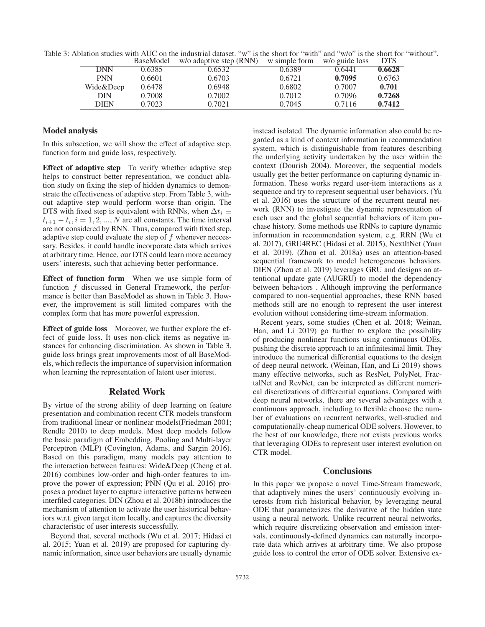Table 3: Ablation studies with AUC on the industrial dataset. "w" is the short for "with" and "w/o" is the short for "without".

|             | <b>BaseModel</b> | w/o adaptive step (RNN) | w simple form | w/o guide loss | DTS.   |
|-------------|------------------|-------------------------|---------------|----------------|--------|
| <b>DNN</b>  | 0.6385           | 0.6532                  | 0.6389        | 0.6441         | 0.6628 |
| <b>PNN</b>  | 0.6601           | 0.6703                  | 0.6721        | 0.7095         | 0.6763 |
| Wide&Deep   | 0.6478           | 0.6948                  | 0.6802        | 0.7007         | 0.701  |
| DIN         | 0.7008           | 0.7002                  | 0.7012        | 0.7096         | 0.7268 |
| <b>DIEN</b> | 0.7023           | 0.7021                  | 0.7045        | 0.7116         | 0.7412 |

### Model analysis

In this subsection, we will show the effect of adaptive step, function form and guide loss, respectively.

Effect of adaptive step To verify whether adaptive step helps to construct better representation, we conduct ablation study on fixing the step of hidden dynamics to demonstrate the effectiveness of adaptive step. From Table 3, without adaptive step would perform worse than origin. The DTS with fixed step is equivalent with RNNs, when  $\Delta t_i \equiv$  $t_{i+1} - t_i$ ,  $i = 1, 2, ..., N$  are all constants. The time interval are not considered by RNN. Thus, compared with fixed step, adaptive step could evaluate the step of f whenever neccessary. Besides, it could handle incorporate data which arrives at arbitrary time. Hence, our DTS could learn more accuracy users' interests, such that achieving better performance.

Effect of function form When we use simple form of function  $f$  discussed in General Framework, the performance is better than BaseModel as shown in Table 3. However, the improvement is still limited compares with the complex form that has more powerful expression.

Effect of guide loss Moreover, we further explore the effect of guide loss. It uses non-click items as negative instances for enhancing discrimination. As shown in Table 3, guide loss brings great improvements most of all BaseModels, which reflects the importance of supervision information when learning the representation of latent user interest.

# Related Work

By virtue of the strong ability of deep learning on feature presentation and combination recent CTR models transform from traditional linear or nonlinear models(Friedman 2001; Rendle 2010) to deep models. Most deep models follow the basic paradigm of Embedding, Pooling and Multi-layer Perceptron (MLP) (Covington, Adams, and Sargin 2016). Based on this paradigm, many models pay attention to the interaction between features: Wide&Deep (Cheng et al. 2016) combines low-order and high-order features to improve the power of expression; PNN (Qu et al. 2016) proposes a product layer to capture interactive patterns between interfiled categories. DIN (Zhou et al. 2018b) introduces the mechanism of attention to activate the user historical behaviors w.r.t. given target item locally, and captures the diversity characteristic of user interests successfully.

Beyond that, several methods (Wu et al. 2017; Hidasi et al. 2015; Yuan et al. 2019) are proposed for capturing dynamic information, since user behaviors are usually dynamic

instead isolated. The dynamic information also could be regarded as a kind of context information in recommendation system, which is distinguishable from features describing the underlying activity undertaken by the user within the context (Dourish 2004). Moreover, the sequential models usually get the better performance on capturing dynamic information. These works regard user-item interactions as a sequence and try to represent sequential user behaviors. (Yu et al. 2016) uses the structure of the recurrent neural network (RNN) to investigate the dynamic representation of each user and the global sequential behaviors of item purchase history. Some methods use RNNs to capture dynamic information in recommendation system, e.g. RRN (Wu et al. 2017), GRU4REC (Hidasi et al. 2015), NextItNet (Yuan et al. 2019). (Zhou et al. 2018a) uses an attention-based sequential framework to model heterogeneous behaviors. DIEN (Zhou et al. 2019) leverages GRU and designs an attentional update gate (AUGRU) to model the dependency between behaviors . Although improving the performance compared to non-sequential approaches, these RNN based methods still are no enough to represent the user interest evolution without considering time-stream information.

Recent years, some studies (Chen et al. 2018; Weinan, Han, and Li 2019) go further to explore the possibility of producing nonlinear functions using continuous ODEs, pushing the discrete approach to an infinitesimal limit. They introduce the numerical differential equations to the design of deep neural network. (Weinan, Han, and Li 2019) shows many effective networks, such as ResNet, PolyNet, FractalNet and RevNet, can be interpreted as different numerical discretizations of differential equations. Compared with deep neural networks, there are several advantages with a continuous approach, including to flexible choose the number of evaluations on recurrent networks, well-studied and computationally-cheap numerical ODE solvers. However, to the best of our knowledge, there not exists previous works that leveraging ODEs to represent user interest evolution on CTR model.

## **Conclusions**

In this paper we propose a novel Time-Stream framework, that adaptively mines the users' continuously evolving interests from rich historical behavior, by leveraging neural ODE that parameterizes the derivative of the hidden state using a neural network. Unlike recurrent neural networks, which require discretizing observation and emission intervals, continuously-defined dynamics can naturally incorporate data which arrives at arbitrary time. We also propose guide loss to control the error of ODE solver. Extensive ex